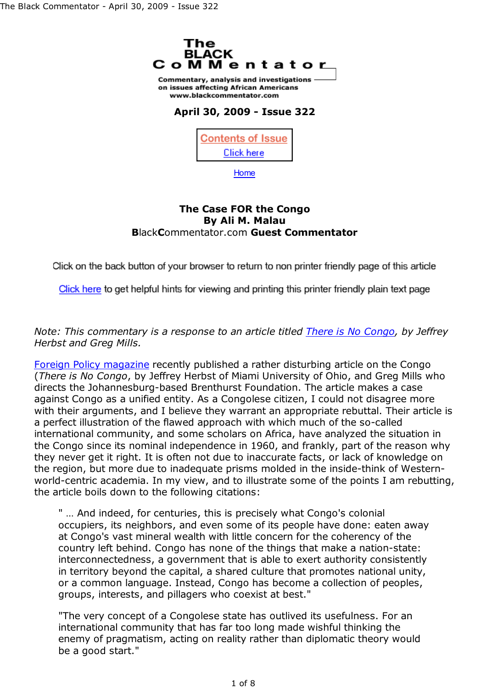

Home

## **The Case FOR the Congo By Ali M. Malau B**lack**C**ommentator.com **Guest Commentator**

Click on the back button of your browser to return to non printer friendly page of this article

Click here to get helpful hints for viewing and printing this printer friendly plain text page

*Note: This commentary is a response to an article titled There is No Congo, by Jeffrey Herbst and Greg Mills.*

Foreign Policy magazine recently published a rather disturbing article on the Congo (*There is No Congo*, by Jeffrey Herbst of Miami University of Ohio, and Greg Mills who directs the Johannesburg-based Brenthurst Foundation. The article makes a case against Congo as a unified entity. As a Congolese citizen, I could not disagree more with their arguments, and I believe they warrant an appropriate rebuttal. Their article is a perfect illustration of the flawed approach with which much of the so-called international community, and some scholars on Africa, have analyzed the situation in the Congo since its nominal independence in 1960, and frankly, part of the reason why they never get it right. It is often not due to inaccurate facts, or lack of knowledge on the region, but more due to inadequate prisms molded in the inside-think of Westernworld-centric academia. In my view, and to illustrate some of the points I am rebutting, the article boils down to the following citations:

" … And indeed, for centuries, this is precisely what Congo's colonial occupiers, its neighbors, and even some of its people have done: eaten away at Congo's vast mineral wealth with little concern for the coherency of the country left behind. Congo has none of the things that make a nation-state: interconnectedness, a government that is able to exert authority consistently in territory beyond the capital, a shared culture that promotes national unity, or a common language. Instead, Congo has become a collection of peoples, groups, interests, and pillagers who coexist at best."

"The very concept of a Congolese state has outlived its usefulness. For an international community that has far too long made wishful thinking the enemy of pragmatism, acting on reality rather than diplomatic theory would be a good start."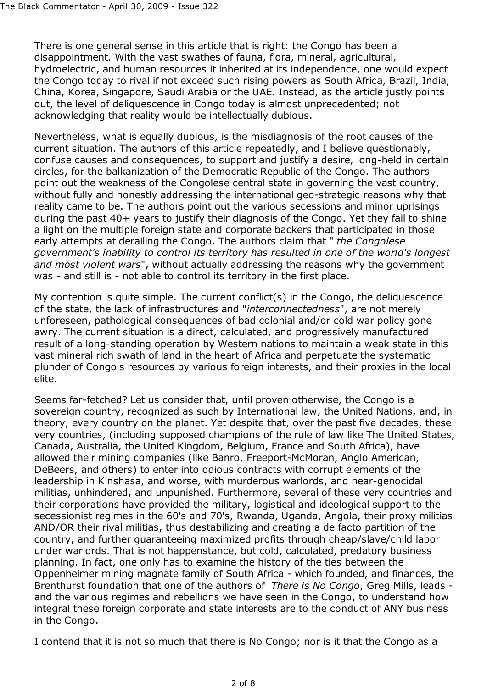There is one general sense in this article that is right: the Congo has been a disappointment. With the vast swathes of fauna, flora, mineral, agricultural, hydroelectric, and human resources it inherited at its independence, one would expect the Congo today to rival if not exceed such rising powers as South Africa, Brazil, India, China, Korea, Singapore, Saudi Arabia or the UAE. Instead, as the article justly points out, the level of deliquescence in Congo today is almost unprecedented; not acknowledging that reality would be intellectually dubious.

Nevertheless, what is equally dubious, is the misdiagnosis of the root causes of the current situation. The authors of this article repeatedly, and I believe questionably, confuse causes and consequences, to support and justify a desire, long-held in certain circles, for the balkanization of the Democratic Republic of the Congo. The authors point out the weakness of the Congolese central state in governing the vast country, without fully and honestly addressing the international geo-strategic reasons why that reality came to be. The authors point out the various secessions and minor uprisings during the past 40+ years to justify their diagnosis of the Congo. Yet they fail to shine a light on the multiple foreign state and corporate backers that participated in those early attempts at derailing the Congo. The authors claim that " *the Congolese government's inability to control its territory has resulted in one of the world's longest and most violent wars*", without actually addressing the reasons why the government was - and still is - not able to control its territory in the first place.

My contention is quite simple. The current conflict( $s$ ) in the Congo, the deliquescence of the state, the lack of infrastructures and "*interconnectedness*", are not merely unforeseen, pathological consequences of bad colonial and/or cold war policy gone awry. The current situation is a direct, calculated, and progressively manufactured result of a long-standing operation by Western nations to maintain a weak state in this vast mineral rich swath of land in the heart of Africa and perpetuate the systematic plunder of Congo's resources by various foreign interests, and their proxies in the local elite.

Seems far-fetched? Let us consider that, until proven otherwise, the Congo is a sovereign country, recognized as such by International law, the United Nations, and, in theory, every country on the planet. Yet despite that, over the past five decades, these very countries, (including supposed champions of the rule of law like The United States, Canada, Australia, the United Kingdom, Belgium, France and South Africa), have allowed their mining companies (like Banro, Freeport-McMoran, Anglo American, DeBeers, and others) to enter into odious contracts with corrupt elements of the leadership in Kinshasa, and worse, with murderous warlords, and near-genocidal militias, unhindered, and unpunished. Furthermore, several of these very countries and their corporations have provided the military, logistical and ideological support to the secessionist regimes in the 60's and 70's, Rwanda, Uganda, Angola, their proxy militias AND/OR their rival militias, thus destabilizing and creating a de facto partition of the country, and further guaranteeing maximized profits through cheap/slave/child labor under warlords. That is not happenstance, but cold, calculated, predatory business planning. In fact, one only has to examine the history of the ties between the Oppenheimer mining magnate family of South Africa - which founded, and finances, the Brenthurst foundation that one of the authors of *There is No Congo*, Greg Mills, leads and the various regimes and rebellions we have seen in the Congo, to understand how integral these foreign corporate and state interests are to the conduct of ANY business in the Congo.

I contend that it is not so much that there is No Congo; nor is it that the Congo as a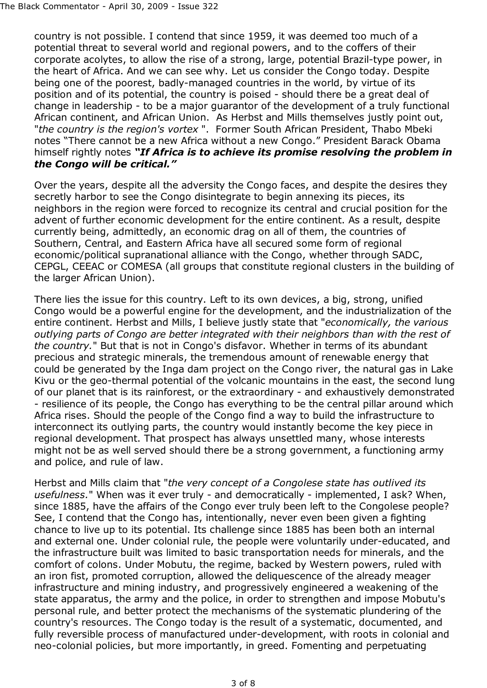country is not possible. I contend that since 1959, it was deemed too much of a potential threat to several world and regional powers, and to the coffers of their corporate acolytes, to allow the rise of a strong, large, potential Brazil-type power, in the heart of Africa. And we can see why. Let us consider the Congo today. Despite being one of the poorest, badly-managed countries in the world, by virtue of its position and of its potential, the country is poised - should there be a great deal of change in leadership - to be a major guarantor of the development of a truly functional African continent, and African Union. As Herbst and Mills themselves justly point out, "*the country is the region's vortex* ". Former South African President, Thabo Mbeki notes "There cannot be a new Africa without a new Congo." President Barack Obama himself rightly notes *"If Africa is to achieve its promise resolving the problem in the Congo will be critical."*

Over the years, despite all the adversity the Congo faces, and despite the desires they secretly harbor to see the Congo disintegrate to begin annexing its pieces, its neighbors in the region were forced to recognize its central and crucial position for the advent of further economic development for the entire continent. As a result, despite currently being, admittedly, an economic drag on all of them, the countries of Southern, Central, and Eastern Africa have all secured some form of regional economic/political supranational alliance with the Congo, whether through SADC, CEPGL, CEEAC or COMESA (all groups that constitute regional clusters in the building of the larger African Union).

There lies the issue for this country. Left to its own devices, a big, strong, unified Congo would be a powerful engine for the development, and the industrialization of the entire continent. Herbst and Mills, I believe justly state that "*economically, the various outlying parts of Congo are better integrated with their neighbors than with the rest of the country.*" But that is not in Congo's disfavor. Whether in terms of its abundant precious and strategic minerals, the tremendous amount of renewable energy that could be generated by the Inga dam project on the Congo river, the natural gas in Lake Kivu or the geo-thermal potential of the volcanic mountains in the east, the second lung of our planet that is its rainforest, or the extraordinary - and exhaustively demonstrated - resilience of its people, the Congo has everything to be the central pillar around which Africa rises. Should the people of the Congo find a way to build the infrastructure to interconnect its outlying parts, the country would instantly become the key piece in regional development. That prospect has always unsettled many, whose interests might not be as well served should there be a strong government, a functioning army and police, and rule of law.

Herbst and Mills claim that "*the very concept of a Congolese state has outlived its usefulness.*" When was it ever truly - and democratically - implemented, I ask? When, since 1885, have the affairs of the Congo ever truly been left to the Congolese people? See, I contend that the Congo has, intentionally, never even been given a fighting chance to live up to its potential. Its challenge since 1885 has been both an internal and external one. Under colonial rule, the people were voluntarily under-educated, and the infrastructure built was limited to basic transportation needs for minerals, and the comfort of colons. Under Mobutu, the regime, backed by Western powers, ruled with an iron fist, promoted corruption, allowed the deliquescence of the already meager infrastructure and mining industry, and progressively engineered a weakening of the state apparatus, the army and the police, in order to strengthen and impose Mobutu's personal rule, and better protect the mechanisms of the systematic plundering of the country's resources. The Congo today is the result of a systematic, documented, and fully reversible process of manufactured under-development, with roots in colonial and neo-colonial policies, but more importantly, in greed. Fomenting and perpetuating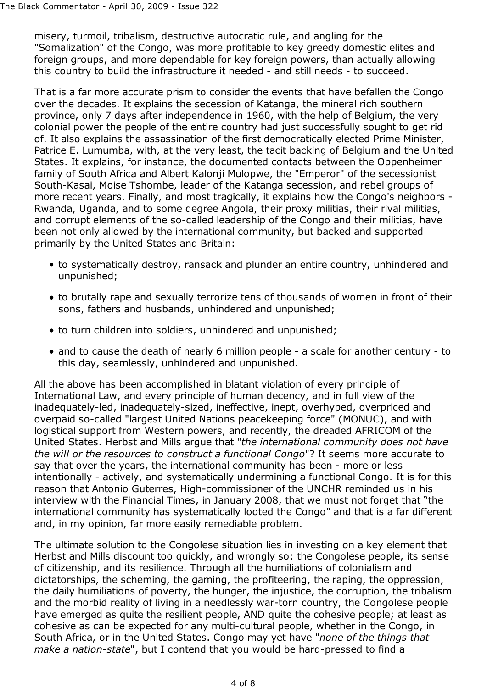misery, turmoil, tribalism, destructive autocratic rule, and angling for the "Somalization" of the Congo, was more profitable to key greedy domestic elites and foreign groups, and more dependable for key foreign powers, than actually allowing this country to build the infrastructure it needed - and still needs - to succeed.

That is a far more accurate prism to consider the events that have befallen the Congo over the decades. It explains the secession of Katanga, the mineral rich southern province, only 7 days after independence in 1960, with the help of Belgium, the very colonial power the people of the entire country had just successfully sought to get rid of. It also explains the assassination of the first democratically elected Prime Minister, Patrice E. Lumumba, with, at the very least, the tacit backing of Belgium and the United States. It explains, for instance, the documented contacts between the Oppenheimer family of South Africa and Albert Kalonji Mulopwe, the "Emperor" of the secessionist South-Kasai, Moise Tshombe, leader of the Katanga secession, and rebel groups of more recent years. Finally, and most tragically, it explains how the Congo's neighbors - Rwanda, Uganda, and to some degree Angola, their proxy militias, their rival militias, and corrupt elements of the so-called leadership of the Congo and their militias, have been not only allowed by the international community, but backed and supported primarily by the United States and Britain:

- to systematically destroy, ransack and plunder an entire country, unhindered and unpunished;
- to brutally rape and sexually terrorize tens of thousands of women in front of their sons, fathers and husbands, unhindered and unpunished;
- to turn children into soldiers, unhindered and unpunished;
- and to cause the death of nearly 6 million people a scale for another century to this day, seamlessly, unhindered and unpunished.

All the above has been accomplished in blatant violation of every principle of International Law, and every principle of human decency, and in full view of the inadequately-led, inadequately-sized, ineffective, inept, overhyped, overpriced and overpaid so-called "largest United Nations peacekeeping force" (MONUC), and with logistical support from Western powers, and recently, the dreaded AFRICOM of the United States. Herbst and Mills argue that "*the international community does not have the will or the resources to construct a functional Congo*"? It seems more accurate to say that over the years, the international community has been - more or less intentionally - actively, and systematically undermining a functional Congo. It is for this reason that Antonio Guterres, High-commissioner of the UNCHR reminded us in his interview with the Financial Times, in January 2008, that we must not forget that "the international community has systematically looted the Congo" and that is a far different and, in my opinion, far more easily remediable problem.

The ultimate solution to the Congolese situation lies in investing on a key element that Herbst and Mills discount too quickly, and wrongly so: the Congolese people, its sense of citizenship, and its resilience. Through all the humiliations of colonialism and dictatorships, the scheming, the gaming, the profiteering, the raping, the oppression, the daily humiliations of poverty, the hunger, the injustice, the corruption, the tribalism and the morbid reality of living in a needlessly war-torn country, the Congolese people have emerged as quite the resilient people, AND quite the cohesive people; at least as cohesive as can be expected for any multi-cultural people, whether in the Congo, in South Africa, or in the United States. Congo may yet have "*none of the things that make a nation-state*", but I contend that you would be hard-pressed to find a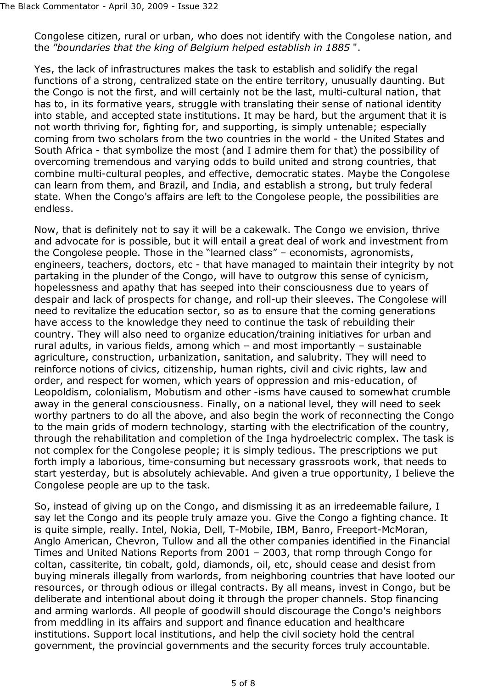Congolese citizen, rural or urban, who does not identify with the Congolese nation, and the *"boundaries that the king of Belgium helped establish in 1885* ".

Yes, the lack of infrastructures makes the task to establish and solidify the regal functions of a strong, centralized state on the entire territory, unusually daunting. But the Congo is not the first, and will certainly not be the last, multi-cultural nation, that has to, in its formative years, struggle with translating their sense of national identity into stable, and accepted state institutions. It may be hard, but the argument that it is not worth thriving for, fighting for, and supporting, is simply untenable; especially coming from two scholars from the two countries in the world - the United States and South Africa - that symbolize the most (and I admire them for that) the possibility of overcoming tremendous and varying odds to build united and strong countries, that combine multi-cultural peoples, and effective, democratic states. Maybe the Congolese can learn from them, and Brazil, and India, and establish a strong, but truly federal state. When the Congo's affairs are left to the Congolese people, the possibilities are endless.

Now, that is definitely not to say it will be a cakewalk. The Congo we envision, thrive and advocate for is possible, but it will entail a great deal of work and investment from the Congolese people. Those in the "learned class" – economists, agronomists, engineers, teachers, doctors, etc - that have managed to maintain their integrity by not partaking in the plunder of the Congo, will have to outgrow this sense of cynicism, hopelessness and apathy that has seeped into their consciousness due to years of despair and lack of prospects for change, and roll-up their sleeves. The Congolese will need to revitalize the education sector, so as to ensure that the coming generations have access to the knowledge they need to continue the task of rebuilding their country. They will also need to organize education/training initiatives for urban and rural adults, in various fields, among which – and most importantly – sustainable agriculture, construction, urbanization, sanitation, and salubrity. They will need to reinforce notions of civics, citizenship, human rights, civil and civic rights, law and order, and respect for women, which years of oppression and mis-education, of Leopoldism, colonialism, Mobutism and other -isms have caused to somewhat crumble away in the general consciousness. Finally, on a national level, they will need to seek worthy partners to do all the above, and also begin the work of reconnecting the Congo to the main grids of modern technology, starting with the electrification of the country, through the rehabilitation and completion of the Inga hydroelectric complex. The task is not complex for the Congolese people; it is simply tedious. The prescriptions we put forth imply a laborious, time-consuming but necessary grassroots work, that needs to start yesterday, but is absolutely achievable. And given a true opportunity, I believe the Congolese people are up to the task.

So, instead of giving up on the Congo, and dismissing it as an irredeemable failure, I say let the Congo and its people truly amaze you. Give the Congo a fighting chance. It is quite simple, really. Intel, Nokia, Dell, T-Mobile, IBM, Banro, Freeport-McMoran, Anglo American, Chevron, Tullow and all the other companies identified in the Financial Times and United Nations Reports from 2001 – 2003, that romp through Congo for coltan, cassiterite, tin cobalt, gold, diamonds, oil, etc, should cease and desist from buying minerals illegally from warlords, from neighboring countries that have looted our resources, or through odious or illegal contracts. By all means, invest in Congo, but be deliberate and intentional about doing it through the proper channels. Stop financing and arming warlords. All people of goodwill should discourage the Congo's neighbors from meddling in its affairs and support and finance education and healthcare institutions. Support local institutions, and help the civil society hold the central government, the provincial governments and the security forces truly accountable.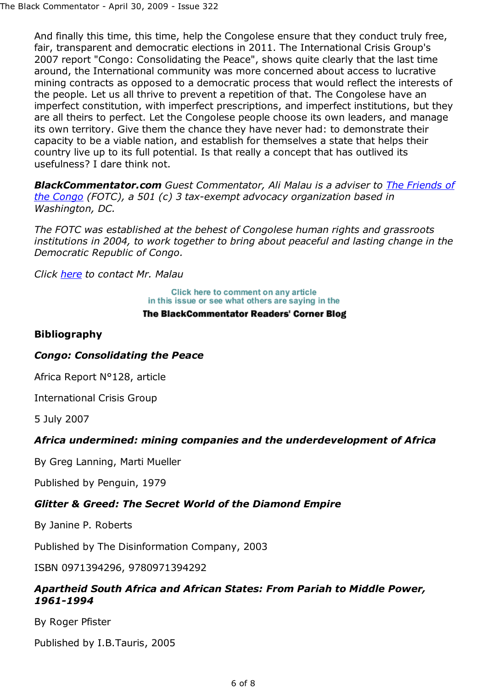And finally this time, this time, help the Congolese ensure that they conduct truly free, fair, transparent and democratic elections in 2011. The International Crisis Group's 2007 report "Congo: Consolidating the Peace", shows quite clearly that the last time around, the International community was more concerned about access to lucrative mining contracts as opposed to a democratic process that would reflect the interests of the people. Let us all thrive to prevent a repetition of that. The Congolese have an imperfect constitution, with imperfect prescriptions, and imperfect institutions, but they are all theirs to perfect. Let the Congolese people choose its own leaders, and manage its own territory. Give them the chance they have never had: to demonstrate their capacity to be a viable nation, and establish for themselves a state that helps their country live up to its full potential. Is that really a concept that has outlived its usefulness? I dare think not.

*BlackCommentator.com Guest Commentator, Ali Malau is a adviser to The Friends of the Congo (FOTC), a 501 (c) 3 tax-exempt advocacy organization based in Washington, DC.*

*The FOTC was established at the behest of Congolese human rights and grassroots institutions in 2004, to work together to bring about peaceful and lasting change in the Democratic Republic of Congo.*

*Click here to contact Mr. Malau*

Click here to comment on any article in this issue or see what others are saying in the

#### The BlackCommentator Readers' Corner Blog

### **Bibliography**

#### *Congo: Consolidating the Peace*

Africa Report N°128, article

International Crisis Group

5 July 2007

## *Africa undermined: mining companies and the underdevelopment of Africa*

By Greg Lanning, Marti Mueller

Published by Penguin, 1979

## *Glitter & Greed: The Secret World of the Diamond Empire*

By Janine P. Roberts

Published by The Disinformation Company, 2003

ISBN 0971394296, 9780971394292

### *Apartheid South Africa and African States: From Pariah to Middle Power, 1961-1994*

By Roger Pfister

Published by I.B.Tauris, 2005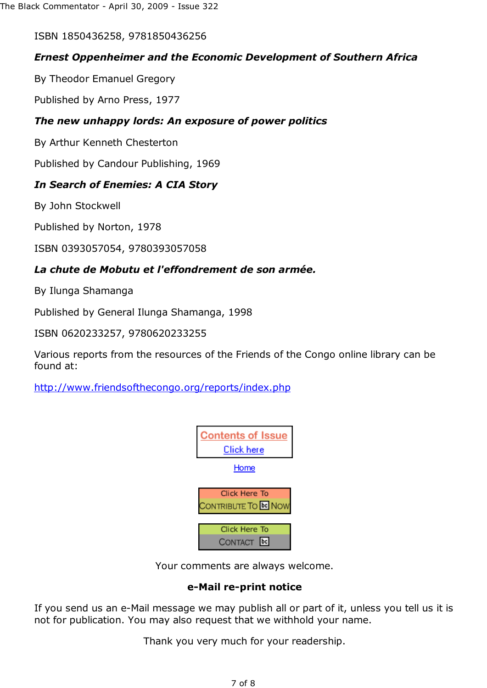ISBN 1850436258, 9781850436256

# *Ernest Oppenheimer and the Economic Development of Southern Africa*

By Theodor Emanuel Gregory

Published by Arno Press, 1977

# *The new unhappy lords: An exposure of power politics*

By Arthur Kenneth Chesterton

Published by Candour Publishing, 1969

# *In Search of Enemies: A CIA Story*

By John Stockwell

Published by Norton, 1978

ISBN 0393057054, 9780393057058

# *La chute de Mobutu et l'effondrement de son armée.*

By Ilunga Shamanga

Published by General Ilunga Shamanga, 1998

ISBN 0620233257, 9780620233255

Various reports from the resources of the Friends of the Congo online library can be found at:

http://www.friendsofthecongo.org/reports/index.php



Your comments are always welcome.

## **e-Mail re-print notice**

If you send us an e-Mail message we may publish all or part of it, unless you tell us it is not for publication. You may also request that we withhold your name.

Thank you very much for your readership.